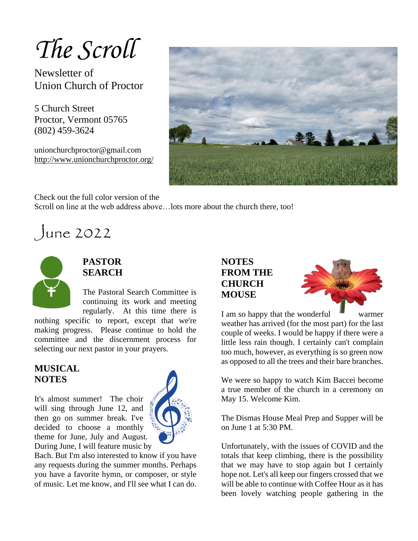## *The Scroll*

Newsletter of Union Church of Proctor

5 Church Street Proctor, Vermont 05765 (802) 459-3624

unionchurchproctor@gmail.com <http://www.unionchurchproctor.org/>



Check out the full color version of the

Scroll on line at the web address above…lots more about the church there, too!

June 2022



#### **PASTOR SEARCH**

The Pastoral Search Committee is continuing its work and meeting regularly. At this time there is

nothing specific to report, except that we're making progress. Please continue to hold the committee and the discernment process for selecting our next pastor in your prayers.

#### **MUSICAL NOTES**

It's almost summer! The choir will sing through June 12, and then go on summer break. I've decided to choose a monthly theme for June, July and August. During June, I will feature music by



Bach. But I'm also interested to know if you have any requests during the summer months. Perhaps you have a favorite hymn, or composer, or style of music. Let me know, and I'll see what I can do.

#### **NOTES FROM THE CHURCH MOUSE**



I am so happy that the wonderful warmer weather has arrived (for the most part) for the last couple of weeks. I would be happy if there were a little less rain though. I certainly can't complain too much, however, as everything is so green now as opposed to all the trees and their bare branches.

We were so happy to watch Kim Baccei become a true member of the church in a ceremony on May 15. Welcome Kim.

The Dismas House Meal Prep and Supper will be on June 1 at 5:30 PM.

Unfortunately, with the issues of COVID and the totals that keep climbing, there is the possibility that we may have to stop again but I certainly hope not. Let's all keep our fingers crossed that we will be able to continue with Coffee Hour as it has been lovely watching people gathering in the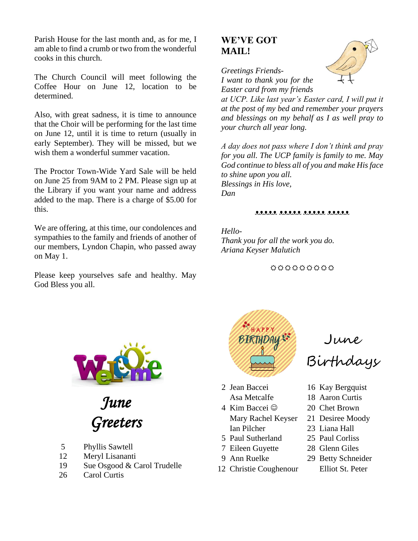Parish House for the last month and, as for me, I am able to find a crumb or two from the wonderful cooks in this church.

The Church Council will meet following the Coffee Hour on June 12, location to be determined.

Also, with great sadness, it is time to announce that the Choir will be performing for the last time on June 12, until it is time to return (usually in early September). They will be missed, but we wish them a wonderful summer vacation.

The Proctor Town-Wide Yard Sale will be held on June 25 from 9AM to 2 PM. Please sign up at the Library if you want your name and address added to the map. There is a charge of \$5.00 for this.

We are offering, at this time, our condolences and sympathies to the family and friends of another of our members, Lyndon Chapin, who passed away on May 1.

Please keep yourselves safe and healthy. May God Bless you all.

#### **WE'VE GOT MAIL!**



*Greetings Friends-I want to thank you for the Easter card from my friends* 

*at UCP. Like last year's Easter card, I will put it at the post of my bed and remember your prayers and blessings on my behalf as I as well pray to your church all year long.*

*A day does not pass where I don't think and pray for you all. The UCP family is family to me. May God continue to bless all of you and make His face to shine upon you all. Blessings in His love, Dan*

#### ᴥᴥᴥᴥᴥ ᴥᴥᴥᴥᴥ ᴥᴥᴥᴥᴥ ᴥᴥᴥᴥᴥ

*Hello-Thank you for all the work you do. Ariana Keyser Malutich*

000000000



*June Greeters* 

- 5 Phyllis Sawtell
- 12 Meryl Lisananti
- 19 Sue Osgood & Carol Trudelle
- 26 Carol Curtis



June

Birthdays

- 
- 

 Mary Rachel Keyser 21 Desiree Moody Ian Pilcher 23 Liana Hall

- 5 Paul Sutherland 25 Paul Corliss
- 7 Eileen Guyette 28 Glenn Giles
- 
- 12 Christie Coughenour Elliot St. Peter
- 2 Jean Baccei 16 Kay Bergquist
	- Asa Metcalfe 18 Aaron Curtis
- 4 Kim Baccei ☺ 20 Chet Brown
	-
	-
	-
	-
- 9 Ann Ruelke 29 Betty Schneider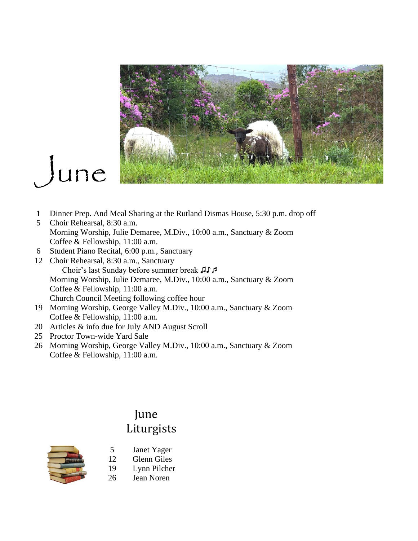

# June

- 1 Dinner Prep. And Meal Sharing at the Rutland Dismas House, 5:30 p.m. drop off
- 5 Choir Rehearsal, 8:30 a.m. Morning Worship, Julie Demaree, M.Div., 10:00 a.m., Sanctuary & Zoom Coffee & Fellowship, 11:00 a.m.
- 6 Student Piano Recital, 6:00 p.m., Sanctuary
- 12 Choir Rehearsal, 8:30 a.m., Sanctuary Choir's last Sunday before summer break ♫♪ Morning Worship, Julie Demaree, M.Div., 10:00 a.m., Sanctuary & Zoom Coffee & Fellowship, 11:00 a.m. Church Council Meeting following coffee hour
- 19 Morning Worship, George Valley M.Div., 10:00 a.m., Sanctuary & Zoom Coffee & Fellowship, 11:00 a.m.
- 20 Articles & info due for July AND August Scroll
- 25 Proctor Town-wide Yard Sale
- 26 Morning Worship, George Valley M.Div., 10:00 a.m., Sanctuary & Zoom Coffee & Fellowship, 11:00 a.m.

### June Liturgists



- 5 Janet Yager 12 Glenn Giles
- 
- 19 Lynn Pilcher<br>26 Jean Noren
- Jean Noren